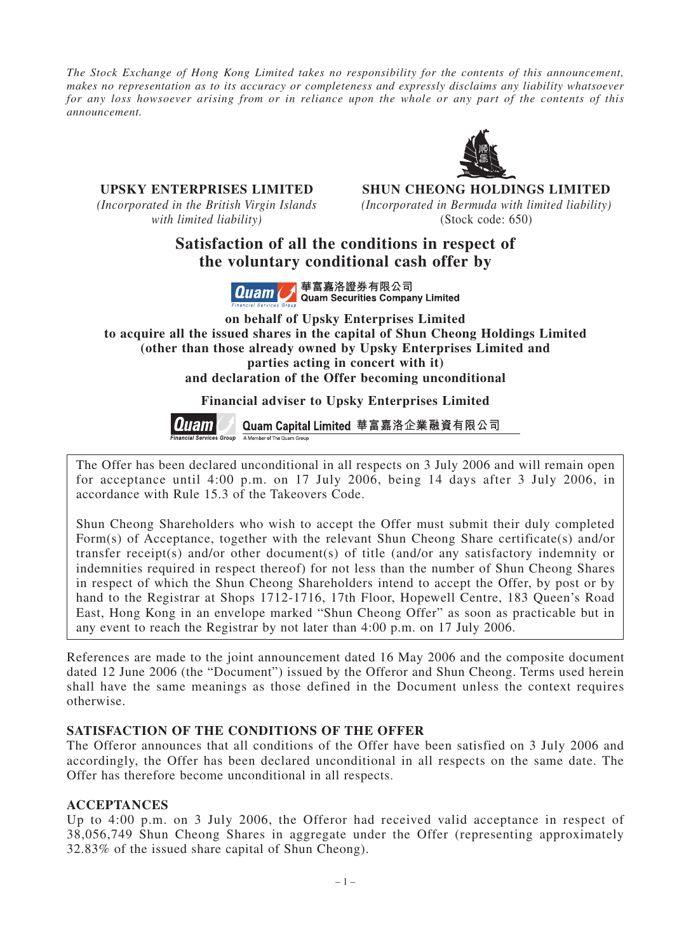*The Stock Exchange of Hong Kong Limited takes no responsibility for the contents of this announcement, makes no representation as to its accuracy or completeness and expressly disclaims any liability whatsoever for any loss howsoever arising from or in reliance upon the whole or any part of the contents of this announcement.*



**UPSKY ENTERPRISES LIMITED SHUN CHEONG HOLDINGS LIMITED** *(Incorporated in the British Virgin Islands (Incorporated in Bermuda with limited liability) with limited liability)* (Stock code: 650)

> **Satisfaction of all the conditions in respect of the voluntary conditional cash offer by**



華富嘉洛證券有限公司 **Quam Securities Company Limited** 

**on behalf of Upsky Enterprises Limited to acquire all the issued shares in the capital of Shun Cheong Holdings Limited (other than those already owned by Upsky Enterprises Limited and parties acting in concert with it) and declaration of the Offer becoming unconditional**

**Financial adviser to Upsky Enterprises Limited**



Quam Capital Limited 華富嘉洛企業融資有限公司 A Member of The Quam Group

The Offer has been declared unconditional in all respects on 3 July 2006 and will remain open for acceptance until 4:00 p.m. on 17 July 2006, being 14 days after 3 July 2006, in accordance with Rule 15.3 of the Takeovers Code.

Shun Cheong Shareholders who wish to accept the Offer must submit their duly completed Form(s) of Acceptance, together with the relevant Shun Cheong Share certificate(s) and/or transfer receipt(s) and/or other document(s) of title (and/or any satisfactory indemnity or indemnities required in respect thereof) for not less than the number of Shun Cheong Shares in respect of which the Shun Cheong Shareholders intend to accept the Offer, by post or by hand to the Registrar at Shops 1712-1716, 17th Floor, Hopewell Centre, 183 Queen's Road East, Hong Kong in an envelope marked "Shun Cheong Offer" as soon as practicable but in any event to reach the Registrar by not later than 4:00 p.m. on 17 July 2006.

References are made to the joint announcement dated 16 May 2006 and the composite document dated 12 June 2006 (the "Document") issued by the Offeror and Shun Cheong. Terms used herein shall have the same meanings as those defined in the Document unless the context requires otherwise.

## **SATISFACTION OF THE CONDITIONS OF THE OFFER**

The Offeror announces that all conditions of the Offer have been satisfied on 3 July 2006 and accordingly, the Offer has been declared unconditional in all respects on the same date. The Offer has therefore become unconditional in all respects.

## **ACCEPTANCES**

Up to 4:00 p.m. on 3 July 2006, the Offeror had received valid acceptance in respect of 38,056,749 Shun Cheong Shares in aggregate under the Offer (representing approximately 32.83% of the issued share capital of Shun Cheong).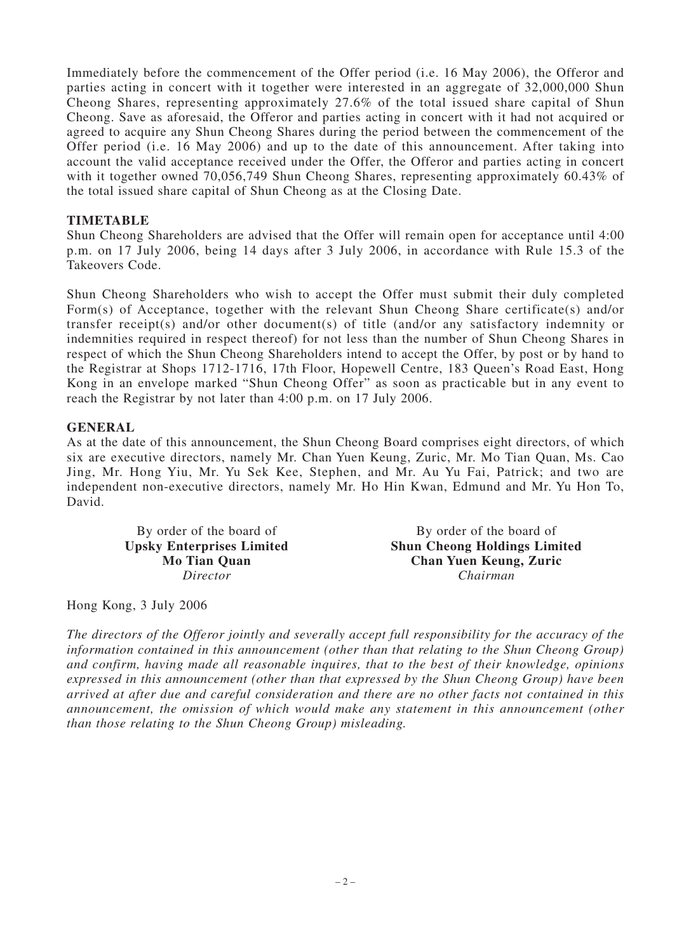Immediately before the commencement of the Offer period (i.e. 16 May 2006), the Offeror and parties acting in concert with it together were interested in an aggregate of 32,000,000 Shun Cheong Shares, representing approximately 27.6% of the total issued share capital of Shun Cheong. Save as aforesaid, the Offeror and parties acting in concert with it had not acquired or agreed to acquire any Shun Cheong Shares during the period between the commencement of the Offer period (i.e. 16 May 2006) and up to the date of this announcement. After taking into account the valid acceptance received under the Offer, the Offeror and parties acting in concert with it together owned 70,056,749 Shun Cheong Shares, representing approximately 60.43% of the total issued share capital of Shun Cheong as at the Closing Date.

## **TIMETABLE**

Shun Cheong Shareholders are advised that the Offer will remain open for acceptance until 4:00 p.m. on 17 July 2006, being 14 days after 3 July 2006, in accordance with Rule 15.3 of the Takeovers Code.

Shun Cheong Shareholders who wish to accept the Offer must submit their duly completed Form(s) of Acceptance, together with the relevant Shun Cheong Share certificate(s) and/or transfer receipt(s) and/or other document(s) of title (and/or any satisfactory indemnity or indemnities required in respect thereof) for not less than the number of Shun Cheong Shares in respect of which the Shun Cheong Shareholders intend to accept the Offer, by post or by hand to the Registrar at Shops 1712-1716, 17th Floor, Hopewell Centre, 183 Queen's Road East, Hong Kong in an envelope marked "Shun Cheong Offer" as soon as practicable but in any event to reach the Registrar by not later than 4:00 p.m. on 17 July 2006.

## **GENERAL**

As at the date of this announcement, the Shun Cheong Board comprises eight directors, of which six are executive directors, namely Mr. Chan Yuen Keung, Zuric, Mr. Mo Tian Quan, Ms. Cao Jing, Mr. Hong Yiu, Mr. Yu Sek Kee, Stephen, and Mr. Au Yu Fai, Patrick; and two are independent non-executive directors, namely Mr. Ho Hin Kwan, Edmund and Mr. Yu Hon To, David.

**Upsky Enterprises Limited** 

By order of the board of By order of the board of<br> **By order of the board of**<br> **By order of the board of Shun Cheong Holdings Limited Mo Tian Quan Chan Yuen Keung, Zuric** *Director Chairman*

Hong Kong, 3 July 2006

*The directors of the Offeror jointly and severally accept full responsibility for the accuracy of the information contained in this announcement (other than that relating to the Shun Cheong Group) and confirm, having made all reasonable inquires, that to the best of their knowledge, opinions expressed in this announcement (other than that expressed by the Shun Cheong Group) have been arrived at after due and careful consideration and there are no other facts not contained in this announcement, the omission of which would make any statement in this announcement (other than those relating to the Shun Cheong Group) misleading.*